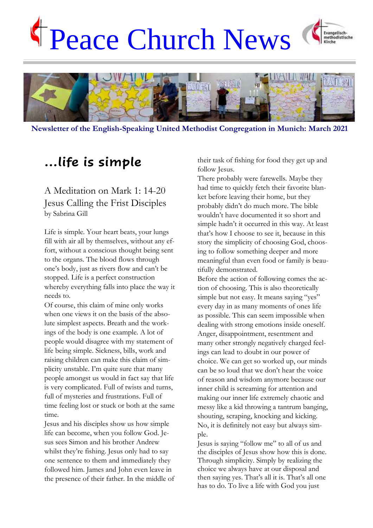# Peace Church News Evangelisch-<br>methodistische



**Newsletter of the English-Speaking United Methodist Congregation in Munich: March 2021**

# **…life is simple**

# A Meditation on Mark 1: 14-20 Jesus Calling the Frist Disciples by Sabrina Gill

Life is simple. Your heart beats, your lungs fill with air all by themselves, without any effort, without a conscious thought being sent to the organs. The blood flows through one's body, just as rivers flow and can't be stopped. Life is a perfect construction whereby everything falls into place the way it needs to.

Of course, this claim of mine only works when one views it on the basis of the absolute simplest aspects. Breath and the workings of the body is one example. A lot of people would disagree with my statement of life being simple. Sickness, bills, work and raising children can make this claim of simplicity unstable. I'm quite sure that many people amongst us would in fact say that life is very complicated. Full of twists and turns, full of mysteries and frustrations. Full of time feeling lost or stuck or both at the same time.

Jesus and his disciples show us how simple life can become, when you follow God. Jesus sees Simon and his brother Andrew whilst they're fishing. Jesus only had to say one sentence to them and immediately they followed him. James and John even leave in the presence of their father. In the middle of their task of fishing for food they get up and follow Jesus.

There probably were farewells. Maybe they had time to quickly fetch their favorite blanket before leaving their home, but they probably didn't do much more. The bible wouldn't have documented it so short and simple hadn't it occurred in this way. At least that's how I choose to see it, because in this story the simplicity of choosing God, choosing to follow something deeper and more meaningful than even food or family is beautifully demonstrated.

Before the action of following comes the action of choosing. This is also theoretically simple but not easy. It means saying "yes" every day in as many moments of ones life as possible. This can seem impossible when dealing with strong emotions inside oneself. Anger, disappointment, resentment and many other strongly negatively charged feelings can lead to doubt in our power of choice. We can get so worked up, our minds can be so loud that we don't hear the voice of reason and wisdom anymore because our inner child is screaming for attention and making our inner life extremely chaotic and messy like a kid throwing a tantrum banging, shouting, scraping, knocking and kicking. No, it is definitely not easy but always simple.

Jesus is saying "follow me" to all of us and the disciples of Jesus show how this is done. Through simplicity. Simply by realizing the choice we always have at our disposal and then saying yes. That's all it is. That's all one has to do. To live a life with God you just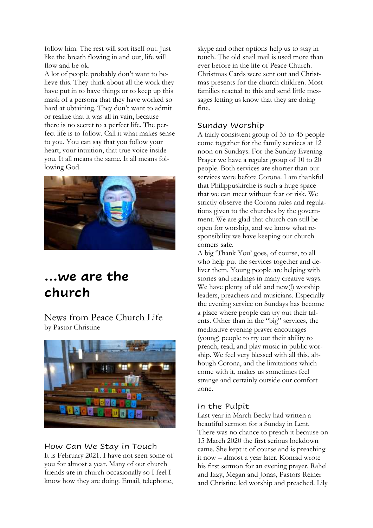follow him. The rest will sort itself out. Just like the breath flowing in and out, life will flow and be ok.

A lot of people probably don't want to believe this. They think about all the work they have put in to have things or to keep up this mask of a persona that they have worked so hard at obtaining. They don't want to admit or realize that it was all in vain, because there is no secret to a perfect life. The perfect life is to follow. Call it what makes sense to you. You can say that you follow your heart, your intuition, that true voice inside you. It all means the same. It all means following God.



# **…we are the church**

News from Peace Church Life by Pastor Christine



# How Can We Stay in Touch

It is February 2021. I have not seen some of you for almost a year. Many of our church friends are in church occasionally so I feel I know how they are doing. Email, telephone,

skype and other options help us to stay in touch. The old snail mail is used more than ever before in the life of Peace Church. Christmas Cards were sent out and Christmas presents for the church children. Most families reacted to this and send little messages letting us know that they are doing fine.

# Sunday Worship

A fairly consistent group of 35 to 45 people come together for the family services at 12 noon on Sundays. For the Sunday Evening Prayer we have a regular group of 10 to 20 people. Both services are shorter than our services were before Corona. I am thankful that Philippuskirche is such a huge space that we can meet without fear or risk. We strictly observe the Corona rules and regulations given to the churches by the government. We are glad that church can still be open for worship, and we know what responsibility we have keeping our church comers safe.

A big 'Thank You' goes, of course, to all who help put the services together and deliver them. Young people are helping with stories and readings in many creative ways. We have plenty of old and new(!) worship leaders, preachers and musicians. Especially the evening service on Sundays has become a place where people can try out their talents. Other than in the "big" services, the meditative evening prayer encourages (young) people to try out their ability to preach, read, and play music in public worship. We feel very blessed with all this, although Corona, and the limitations which come with it, makes us sometimes feel strange and certainly outside our comfort zone.

# In the Pulpit

Last year in March Becky had written a beautiful sermon for a Sunday in Lent. There was no chance to preach it because on 15 March 2020 the first serious lockdown came. She kept it of course and is preaching it now – almost a year later. Konrad wrote his first sermon for an evening prayer. Rahel and Izzy, Megan and Jonas, Pastors Reiner and Christine led worship and preached. Lily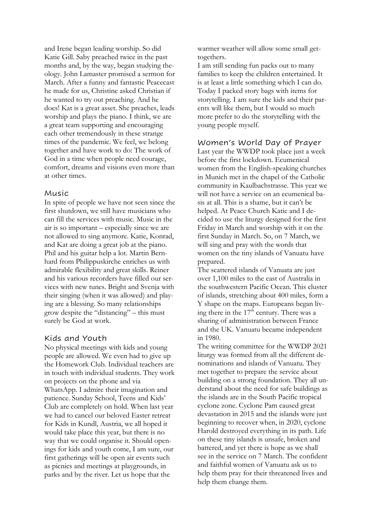and Irene began leading worship. So did Katie Gill. Saby preached twice in the past months and, by the way, began studying theology. John Lamaster promised a sermon for March. After a funny and fantastic Peacecast he made for us, Christine asked Christian if he wanted to try out preaching. And he does! Kat is a great asset. She preaches, leads worship and plays the piano. I think, we are a great team supporting and encouraging each other tremendously in these strange times of the pandemic. We feel, we belong together and have work to do: The work of God in a time when people need courage, comfort, dreams and visions even more than at other times.

#### Music

In spite of people we have not seen since the first shutdown, we still have musicians who can fill the services with music. Music in the air is so important – especially since we are not allowed to sing anymore. Katie, Konrad, and Kat are doing a great job at the piano. Phil and his guitar help a lot. Martin Bernhard from Philippuskirche enriches us with admirable flexibility and great skills. Reiner and his various recorders have filled our services with new tunes. Bright and Svenja with their singing (when it was allowed) and playing are a blessing. So many relationships grow despite the "distancing" – this must surely be God at work.

# Kids and Youth

No physical meetings with kids and young people are allowed. We even had to give up the Homework Club. Individual teachers are in touch with individual students. They work on projects on the phone and via WhatsApp. I admire their imagination and patience. Sunday School, Teens and Kids' Club are completely on hold. When last year we had to cancel our beloved Easter retreat for Kids in Kundl, Austria, we all hoped it would take place this year, but there is no way that we could organise it. Should openings for kids and youth come, I am sure, our first gatherings will be open air events such as picnics and meetings at playgrounds, in parks and by the river. Let us hope that the

warmer weather will allow some small gettogethers.

I am still sending fun packs out to many families to keep the children entertained. It is at least a little something which I can do. Today I packed story bags with items for storytelling. I am sure the kids and their parents will like them, but I would so much more prefer to do the storytelling with the young people myself.

# Women's World Day of Prayer

Last year the WWDP took place just a week before the first lockdown. Ecumenical women from the English-speaking churches in Munich met in the chapel of the Catholic community in Kaulbachstrasse. This year we will not have a service on an ecumenical basis at all. This is a shame, but it can't be helped. At Peace Church Katie and I decided to use the liturgy designed for the first Friday in March and worship with it on the first Sunday in March. So, on 7 March, we will sing and pray with the words that women on the tiny islands of Vanuatu have prepared.

The scattered islands of Vanuata are just over 1,100 miles to the east of Australia in the southwestern Pacific Ocean. This cluster of islands, stretching about 400 miles, form a Y shape on the maps. Europeans began living there in the  $17<sup>th</sup>$  century. There was a sharing of administration between France and the UK. Vanuatu became independent in 1980.

The writing committee for the WWDP 2021 liturgy was formed from all the different denominations and islands of Vanuatu. They met together to prepare the service about building on a strong foundation. They all understand about the need for safe buildings as the islands are in the South Pacific tropical cyclone zone. Cyclone Pam caused great devastation in 2015 and the islands were just beginning to recover when, in 2020, cyclone Harold destroyed everything in its path. Life on these tiny islands is unsafe, broken and battered, and yet there is hope as we shall see in the service on 7 March. The confident and faithful women of Vanuatu ask us to help them pray for their threatened lives and help them change them.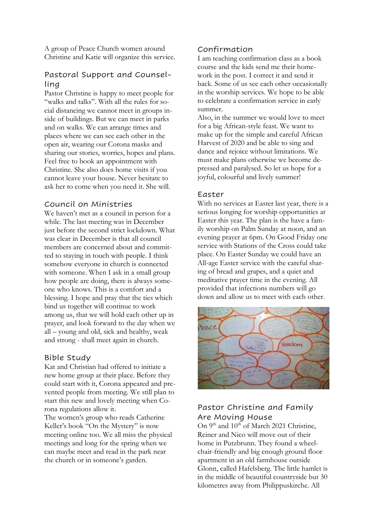A group of Peace Church women around Christine and Katie will organize this service.

# Pastoral Support and Counselling

Pastor Christine is happy to meet people for "walks and talks". With all the rules for social distancing we cannot meet in groups inside of buildings. But we can meet in parks and on walks. We can arrange times and places where we can see each other in the open air, wearing our Corona masks and sharing our stories, worries, hopes and plans. Feel free to book an appointment with Christine. She also does home visits if you cannot leave your house. Never hesitate to ask her to come when you need it. She will.

# Council on Ministries

We haven't met as a council in person for a while. The last meeting was in December just before the second strict lockdown. What was clear in December is that all council members are concerned about and committed to staying in touch with people. I think somehow everyone in church is connected with someone. When I ask in a small group how people are doing, there is always someone who knows. This is a comfort and a blessing. I hope and pray that the ties which bind us together will continue to work among us, that we will hold each other up in prayer, and look forward to the day when we all – young and old, sick and healthy, weak and strong - shall meet again in church.

#### Bible Study

Kat and Christian had offered to initiate a new home group at their place. Before they could start with it, Corona appeared and prevented people from meeting. We still plan to start this new and lovely meeting when Corona regulations allow it.

The women's group who reads Catherine Keller's book "On the Mystery" is now meeting online too. We all miss the physical meetings and long for the spring when we can maybe meet and read in the park near the church or in someone's garden.

# Confirmation

I am teaching confirmation class as a book course and the kids send me their homework in the post. I correct it and send it back. Some of us see each other occasionally in the worship services. We hope to be able to celebrate a confirmation service in early summer.

Also, in the summer we would love to meet for a big African-style feast. We want to make up for the simple and careful African Harvest of 2020 and be able to sing and dance and rejoice without limitations. We must make plans otherwise we become depressed and paralysed. So let us hope for a joyful, colourful and lively summer!

### Easter

With no services at Easter last year, there is a serious longing for worship opportunities at Easter this year. The plan is the have a family worship on Palm Sunday at noon, and an evening prayer at 6pm. On Good Friday one service with Stations of the Cross could take place. On Easter Sunday we could have an All-age Easter service with the careful sharing of bread and grapes, and a quiet and meditative prayer time in the evening. All provided that infections numbers will go down and allow us to meet with each other.



# Pastor Christine and Family Are Moving House

On 9<sup>th</sup> and 10<sup>th</sup> of March 2021 Christine, Reiner and Nico will move out of their home in Putzbrunn. They found a wheelchair-friendly and big enough ground floor apartment in an old farmhouse outside Glonn, called Hafelsberg. The little hamlet is in the middle of beautiful countryside but 30 kilometres away from Philippuskirche. All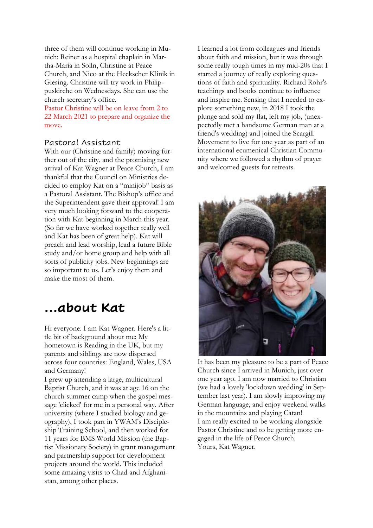three of them will continue working in Munich: Reiner as a hospital chaplain in Martha-Maria in Solln, Christine at Peace Church, and Nico at the Heckscher Klinik in Giesing. Christine will try work in Philippuskirche on Wednesdays. She can use the church secretary's office.

Pastor Christine will be on leave from 2 to 22 March 2021 to prepare and organize the move.

# Pastoral Assistant

With our (Christine and family) moving further out of the city, and the promising new arrival of Kat Wagner at Peace Church, I am thankful that the Council on Ministries decided to employ Kat on a "minijob" basis as a Pastoral Assistant. The Bishop's office and the Superintendent gave their approval! I am very much looking forward to the cooperation with Kat beginning in March this year. (So far we have worked together really well and Kat has been of great help). Kat will preach and lead worship, lead a future Bible study and/or home group and help with all sorts of publicity jobs. New beginnings are so important to us. Let's enjoy them and make the most of them.

# **…about Kat**

Hi everyone. I am Kat Wagner. Here's a little bit of background about me: My hometown is Reading in the UK, but my parents and siblings are now dispersed across four countries: England, Wales, USA and Germany!

I grew up attending a large, multicultural Baptist Church, and it was at age 16 on the church summer camp when the gospel message 'clicked' for me in a personal way. After university (where I studied biology and geography), I took part in YWAM's Discipleship Training School, and then worked for 11 years for BMS World Mission (the Baptist Missionary Society) in grant management and partnership support for development projects around the world. This included some amazing visits to Chad and Afghanistan, among other places.

I learned a lot from colleagues and friends about faith and mission, but it was through some really tough times in my mid-20s that I started a journey of really exploring questions of faith and spirituality. Richard Rohr's teachings and books continue to influence and inspire me. Sensing that I needed to explore something new, in 2018 I took the plunge and sold my flat, left my job, (unexpectedly met a handsome German man at a friend's wedding) and joined the Scargill Movement to live for one year as part of an international ecumenical Christian Community where we followed a rhythm of prayer and welcomed guests for retreats.



It has been my pleasure to be a part of Peace Church since I arrived in Munich, just over one year ago. I am now married to Christian (we had a lovely 'lockdown wedding' in September last year). I am slowly improving my German language, and enjoy weekend walks in the mountains and playing Catan! I am really excited to be working alongside Pastor Christine and to be getting more engaged in the life of Peace Church. Yours, Kat Wagner.